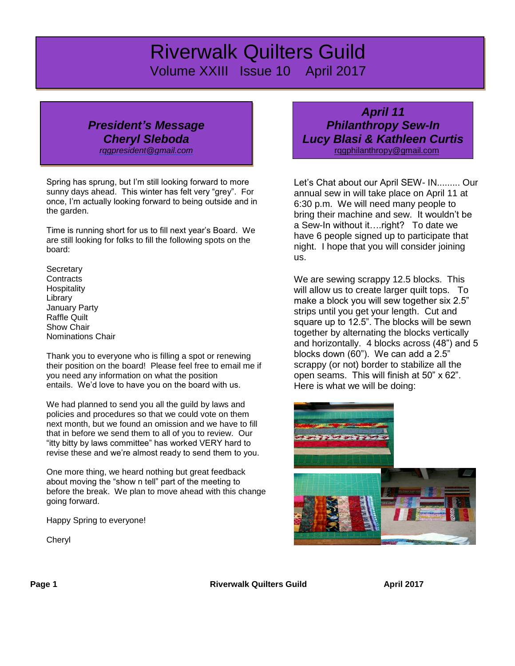# *Riverwalk Quilters Guild* Volume XXIII Issue 10 April 2017

# *President's Message Cheryl Sleboda*

*[rqgpresident@gmail.com](mailto:rqgpresident@gmail.com)*

Spring has sprung, but I'm still looking forward to more sunny days ahead. This winter has felt very "grey". For once, I'm actually looking forward to being outside and in the garden.

Time is running short for us to fill next year's Board. We are still looking for folks to fill the following spots on the board:

**Secretary Contracts Hospitality** Library January Party Raffle Quilt Show Chair Nominations Chair

Thank you to everyone who is filling a spot or renewing their position on the board! Please feel free to email me if you need any information on what the position entails. We'd love to have you on the board with us.

We had planned to send you all the guild by laws and policies and procedures so that we could vote on them next month, but we found an omission and we have to fill that in before we send them to all of you to review. Our "itty bitty by laws committee" has worked VERY hard to revise these and we're almost ready to send them to you.

One more thing, we heard nothing but great feedback about moving the "show n tell" part of the meeting to before the break. We plan to move ahead with this change going forward.

Happy Spring to everyone!

Cheryl

*April 11 Philanthropy Sew-In Lucy Blasi & Kathleen Curtis* [rqgphilanthropy@gmail.com](mailto:rqgphilanthropy@gmail.com)

Let's Chat about our April SEW- IN......... Our annual sew in will take place on April 11 at 6:30 p.m. We will need many people to bring their machine and sew. It wouldn't be a Sew-In without it….right? To date we have 6 people signed up to participate that night. I hope that you will consider joining us.

We are sewing scrappy 12.5 blocks. This will allow us to create larger quilt tops. To make a block you will sew together six 2.5" strips until you get your length. Cut and square up to 12.5". The blocks will be sewn together by alternating the blocks vertically and horizontally. 4 blocks across (48") and 5 blocks down (60"). We can add a 2.5" scrappy (or not) border to stabilize all the open seams. This will finish at 50" x 62". Here is what we will be doing:



**Page 1 Riverwalk Quilters Guild April 2017**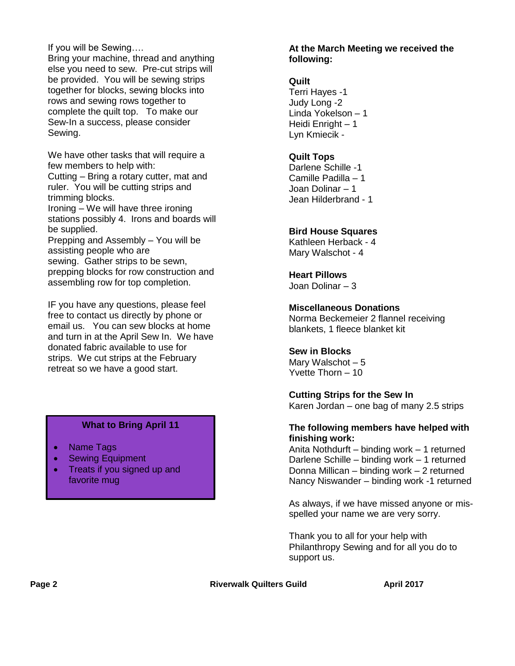If you will be Sewing….

Bring your machine, thread and anything else you need to sew. Pre-cut strips will be provided. You will be sewing strips together for blocks, sewing blocks into rows and sewing rows together to complete the quilt top. To make our Sew-In a success, please consider Sewing.

We have other tasks that will require a few members to help with:

Cutting – Bring a rotary cutter, mat and ruler. You will be cutting strips and trimming blocks.

Ironing – We will have three ironing stations possibly 4. Irons and boards will be supplied.

Prepping and Assembly – You will be assisting people who are sewing. Gather strips to be sewn, prepping blocks for row construction and assembling row for top completion.

IF you have any questions, please feel free to contact us directly by phone or email us. You can sew blocks at home and turn in at the April Sew In. We have donated fabric available to use for strips. We cut strips at the February retreat so we have a good start.

### **What to Bring April 11**

- Name Tags
- **Sewing Equipment**
- Treats if you signed up and favorite mug

#### **At the March Meeting we received the following:**

#### **Quilt**

Terri Hayes -1 Judy Long -2 Linda Yokelson – 1 Heidi Enright – 1 Lyn Kmiecik -

### **Quilt Tops**

Darlene Schille -1 Camille Padilla – 1 Joan Dolinar – 1 Jean Hilderbrand - 1

### **Bird House Squares**

Kathleen Herback - 4 Mary Walschot - 4

## **Heart Pillows**

Joan Dolinar – 3

#### **Miscellaneous Donations**

Norma Beckemeier 2 flannel receiving blankets, 1 fleece blanket kit

#### **Sew in Blocks**

Mary Walschot – 5 Yvette Thorn – 10

**Cutting Strips for the Sew In** Karen Jordan – one bag of many 2.5 strips

#### **The following members have helped with finishing work:**

Anita Nothdurft – binding work – 1 returned Darlene Schille – binding work – 1 returned Donna Millican – binding work – 2 returned Nancy Niswander – binding work -1 returned

As always, if we have missed anyone or misspelled your name we are very sorry.

Thank you to all for your help with Philanthropy Sewing and for all you do to support us.

**Page 2 Riverwalk Quilters Guild April 2017**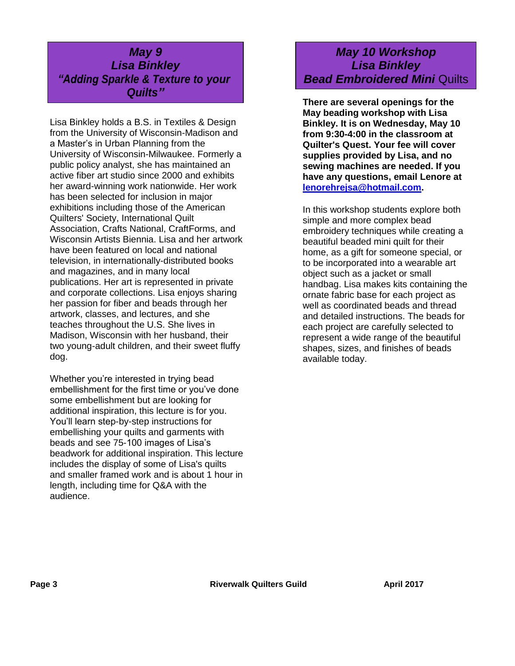# *May 9 Lisa Binkley "Adding Sparkle & Texture to your Quilts"*

Lisa Binkley holds a B.S. in Textiles & Design from the University of Wisconsin-Madison and a Master's in Urban Planning from the University of Wisconsin-Milwaukee. Formerly a public policy analyst, she has maintained an active fiber art studio since 2000 and exhibits her award-winning work nationwide. Her work has been selected for inclusion in major exhibitions including those of the American Quilters' Society, International Quilt Association, Crafts National, CraftForms, and Wisconsin Artists Biennia. Lisa and her artwork have been featured on local and national television, in internationally-distributed books and magazines, and in many local publications. Her art is represented in private and corporate collections. Lisa enjoys sharing her passion for fiber and beads through her artwork, classes, and lectures, and she teaches throughout the U.S. She lives in Madison, Wisconsin with her husband, their two young-adult children, and their sweet fluffy dog.

Whether you're interested in trying bead embellishment for the first time or you've done some embellishment but are looking for additional inspiration, this lecture is for you. You'll learn step-by-step instructions for embellishing your quilts and garments with beads and see 75-100 images of Lisa's beadwork for additional inspiration. This lecture includes the display of some of Lisa's quilts and smaller framed work and is about 1 hour in length, including time for Q&A with the audience.

# *May 10 Workshop Lisa Binkley Bead Embroidered Mini* Quilts

**There are several openings for the May beading workshop with Lisa Binkley. It is on Wednesday, May 10 from 9:30-4:00 in the classroom at Quilter's Quest. Your fee will cover supplies provided by Lisa, and no sewing machines are needed. If you have any questions, email Lenore at [lenorehrejsa@hotmail.com.](mailto:lenorehrejsa@hotmail.com)**

In this workshop students explore both simple and more complex bead embroidery techniques while creating a beautiful beaded mini quilt for their home, as a gift for someone special, or to be incorporated into a wearable art object such as a jacket or small handbag. Lisa makes kits containing the ornate fabric base for each project as well as coordinated beads and thread and detailed instructions. The beads for each project are carefully selected to represent a wide range of the beautiful shapes, sizes, and finishes of beads available today.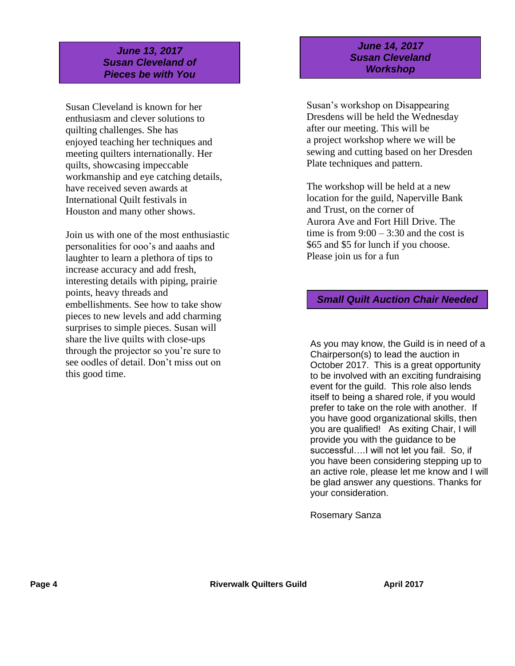## *June 13, 2017 Susan Cleveland of Pieces be with You*

Susan Cleveland is known for her enthusiasm and clever solutions to quilting challenges. She has enjoyed teaching her techniques and meeting quilters internationally. Her quilts, showcasing impeccable workmanship and eye catching details, have received seven awards at International Quilt festivals in Houston and many other shows.

Join us with one of the most enthusiastic personalities for ooo's and aaahs and laughter to learn a plethora of tips to increase accuracy and add fresh, interesting details with piping, prairie points, heavy threads and embellishments. See how to take show pieces to new levels and add charming surprises to simple pieces. Susan will share the live quilts with close-ups through the projector so you're sure to see oodles of detail. Don't miss out on this good time.

### *June 14, 2017 Susan Cleveland Workshop*

Susan's workshop on Disappearing Dresdens will be held the Wednesday after our meeting. This will be a project workshop where we will be sewing and cutting based on her Dresden Plate techniques and pattern.

The workshop will be held at a new location for the guild, Naperville Bank and Trust, on the corner of Aurora Ave and Fort Hill Drive. The time is from  $9:00 - 3:30$  and the cost is \$65 and \$5 for lunch if you choose. Please join us for a fun

## *Small Quilt Auction Chair Needed*

As you may know, the Guild is in need of a Chairperson(s) to lead the auction in October 2017. This is a great opportunity to be involved with an exciting fundraising event for the guild. This role also lends itself to being a shared role, if you would prefer to take on the role with another. If you have good organizational skills, then you are qualified! As exiting Chair, I will provide you with the guidance to be successful….I will not let you fail. So, if you have been considering stepping up to an active role, please let me know and I will be glad answer any questions. Thanks for your consideration.

Rosemary Sanza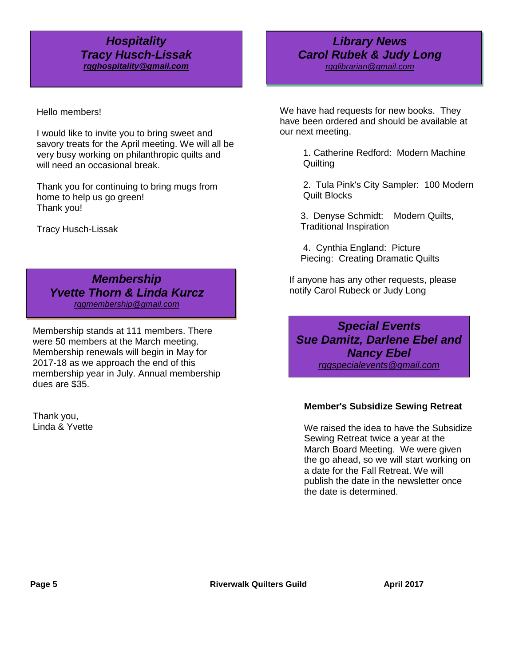## *Hospitality Tracy Husch-Lissak [rqghospitality@gmail.com](file:///C:/Users/Sandra/Documents/RQG%20Newsletter/rqghospitality@gmail.com)*

Hello members!

I would like to invite you to bring sweet and savory treats for the April meeting. We will all be very busy working on philanthropic quilts and will need an occasional break.

Thank you for continuing to bring mugs from home to help us go green! Thank you!

Tracy Husch-Lissak

*Membership Yvette Thorn & Linda Kurcz [rqgmembership@gmail.com](mailto:rqgmembership@gmail.com)*

Membership stands at 111 members. There were 50 members at the March meeting. Membership renewals will begin in May for 2017-18 as we approach the end of this membership year in July. Annual membership dues are \$35.

Thank you, Linda & Yvette

## *Carol Rubek & Judy Long Library News [rqglibrarian@gmail.com](mailto:rqglibrarian@gmail.com)*

We have had requests for new books. They have been ordered and should be available at our next meeting.

> 1. Catherine Redford: Modern Machine **Quilting**

2. Tula Pink's City Sampler: 100 Modern Quilt Blocks

3. Denyse Schmidt: Modern Quilts, Traditional Inspiration

4. Cynthia England: Picture Piecing: Creating Dramatic Quilts

If anyone has any other requests, please notify Carol Rubeck or Judy Long

*Special Events Sue Damitz, Darlene Ebel and Nancy Ebel rqgspecialevents@gmail.com*

### **Member's Subsidize Sewing Retreat**

Looming Replace three a year at the commit-We raised the idea to have the Subsidize Sewing Retreat twice a year at the the go ahead, so we will start working on a date for the Fall Retreat. We will publish the date in the newsletter once the date is determined.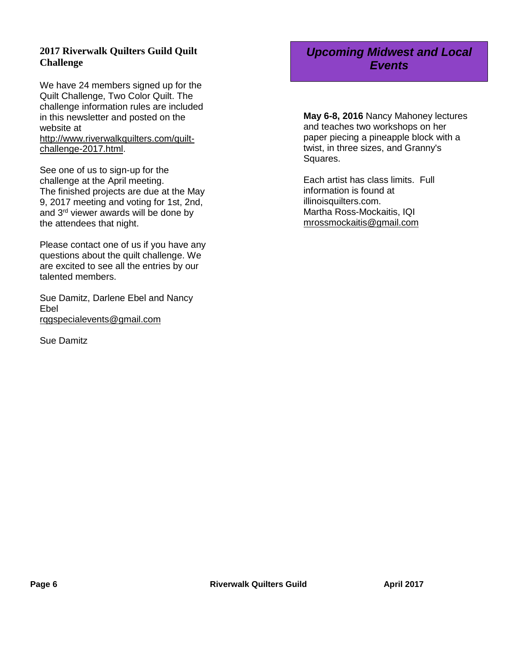## **2017 Riverwalk Quilters Guild Quilt Challenge**

We have 24 members signed up for the Quilt Challenge, Two Color Quilt. The challenge information rules are included in this newsletter and posted on the website at [http://www.riverwalkquilters.com/quilt-](http://www.riverwalkquilters.com/quilt-challenge-2017.html)

[challenge-2017.html.](http://www.riverwalkquilters.com/quilt-challenge-2017.html)

See one of us to sign-up for the challenge at the April meeting. The finished projects are due at the May 9, 2017 meeting and voting for 1st, 2nd, and 3rd viewer awards will be done by the attendees that night.

Please contact one of us if you have any questions about the quilt challenge. We are excited to see all the entries by our talented members.

Sue Damitz, Darlene Ebel and Nancy Ebel [rqgspecialevents@gmail.com](mailto:rqgspecialevents@gmail.com)

Sue Damitz

# *Upcoming Midwest and Local Events*

**May 6-8, 2016** Nancy Mahoney lectures and teaches two workshops on her paper piecing a pineapple block with a twist, in three sizes, and Granny's Squares.

Each artist has class limits. Full information is found at illinoisquilters.com. Martha Ross-Mockaitis, IQI [mrossmockaitis@gmail.com](mailto:mrossmockaitis@gmail.com)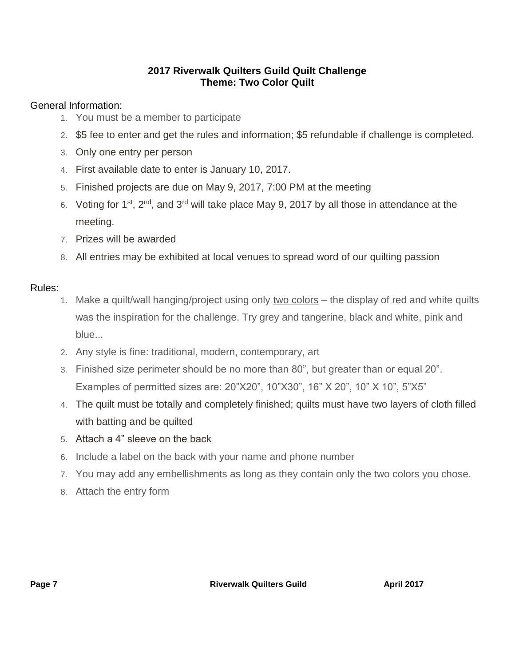# **2017 Riverwalk Quilters Guild Quilt Challenge Theme: Two Color Quilt**

# General Information:

- 1. You must be a member to participate
- 2. \$5 fee to enter and get the rules and information; \$5 refundable if challenge is completed.
- 3. Only one entry per person
- 4. First available date to enter is January 10, 2017.
- 5. Finished projects are due on May 9, 2017, 7:00 PM at the meeting
- 6. Voting for 1st, 2nd, and 3rd will take place May 9, 2017 by all those in attendance at the meeting.
- 7. Prizes will be awarded
- 8. All entries may be exhibited at local venues to spread word of our quilting passion

## Rules:

- 1. Make a quilt/wall hanging/project using only two colors the display of red and white quilts was the inspiration for the challenge. Try grey and tangerine, black and white, pink and blue...
- 2. Any style is fine: traditional, modern, contemporary, art
- 3. Finished size perimeter should be no more than 80", but greater than or equal 20". Examples of permitted sizes are: 20"X20", 10"X30", 16" X 20", 10" X 10", 5"X5"
- 4. The quilt must be totally and completely finished; quilts must have two layers of cloth filled with batting and be quilted
- 5. Attach a 4" sleeve on the back
- 6. Include a label on the back with your name and phone number
- 7. You may add any embellishments as long as they contain only the two colors you chose.
- 8. Attach the entry form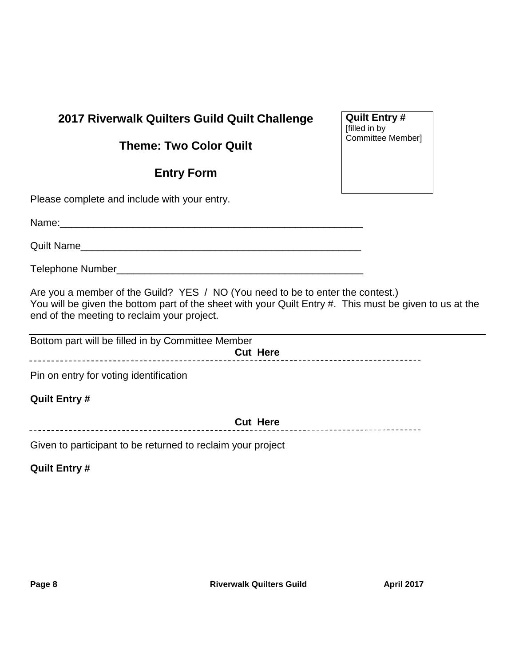# **2017 Riverwalk Quilters Guild Quilt Challenge**

# **Theme: Two Color Quilt**

# **Entry Form**

Please complete and include with your entry.

Name:

Quilt Name

Telephone Number\_\_\_\_\_\_\_\_\_\_\_\_\_\_\_\_\_\_\_\_\_\_\_\_\_\_\_\_\_\_\_\_\_\_\_\_\_\_\_\_\_\_\_\_

Are you a member of the Guild? YES / NO (You need to be to enter the contest.) You will be given the bottom part of the sheet with your Quilt Entry #. This must be given to us at the end of the meeting to reclaim your project.

| Bottom part will be filled in by Committee Member |
|---------------------------------------------------|
| <b>Cut Here</b>                                   |
|                                                   |

Pin on entry for voting identification

# **Quilt Entry #**

**Cut Here**

Given to participant to be returned to reclaim your project

**Quilt Entry #**

**Quilt Entry #** [filled in by Committee Member]

------------------------------